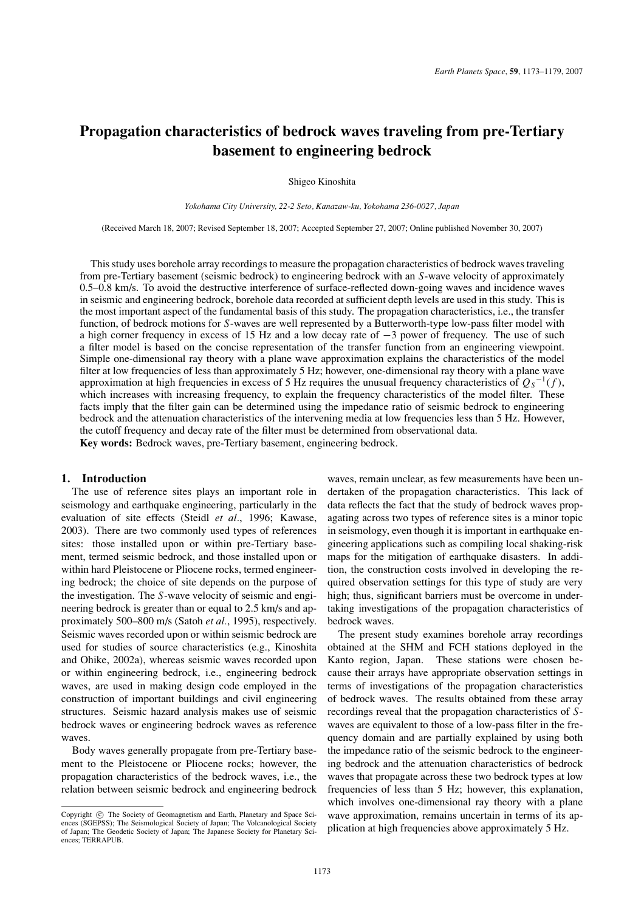# **Propagation characteristics of bedrock waves traveling from pre-Tertiary basement to engineering bedrock**

Shigeo Kinoshita

*Yokohama City University, 22-2 Seto, Kanazaw-ku, Yokohama 236-0027, Japan*

(Received March 18, 2007; Revised September 18, 2007; Accepted September 27, 2007; Online published November 30, 2007)

This study uses borehole array recordings to measure the propagation characteristics of bedrock waves traveling from pre-Tertiary basement (seismic bedrock) to engineering bedrock with an *S*-wave velocity of approximately 0.5–0.8 km/s. To avoid the destructive interference of surface-reflected down-going waves and incidence waves in seismic and engineering bedrock, borehole data recorded at sufficient depth levels are used in this study. This is the most important aspect of the fundamental basis of this study. The propagation characteristics, i.e., the transfer function, of bedrock motions for *S*-waves are well represented by a Butterworth-type low-pass filter model with a high corner frequency in excess of 15 Hz and a low decay rate of −3 power of frequency. The use of such a filter model is based on the concise representation of the transfer function from an engineering viewpoint. Simple one-dimensional ray theory with a plane wave approximation explains the characteristics of the model filter at low frequencies of less than approximately 5 Hz; however, one-dimensional ray theory with a plane wave approximation at high frequencies in excess of 5 Hz requires the unusual frequency characteristics of  $Q_S^{-1}(f)$ , which increases with increasing frequency, to explain the frequency characteristics of the model filter. These facts imply that the filter gain can be determined using the impedance ratio of seismic bedrock to engineering bedrock and the attenuation characteristics of the intervening media at low frequencies less than 5 Hz. However, the cutoff frequency and decay rate of the filter must be determined from observational data.

**Key words:** Bedrock waves, pre-Tertiary basement, engineering bedrock.

## **1. Introduction**

The use of reference sites plays an important role in seismology and earthquake engineering, particularly in the evaluation of site effects (Steidl *et al.*, 1996; Kawase, 2003). There are two commonly used types of references sites: those installed upon or within pre-Tertiary basement, termed seismic bedrock, and those installed upon or within hard Pleistocene or Pliocene rocks, termed engineering bedrock; the choice of site depends on the purpose of the investigation. The *S*-wave velocity of seismic and engineering bedrock is greater than or equal to 2.5 km/s and approximately 500–800 m/s (Satoh *et al.*, 1995), respectively. Seismic waves recorded upon or within seismic bedrock are used for studies of source characteristics (e.g., Kinoshita and Ohike, 2002a), whereas seismic waves recorded upon or within engineering bedrock, i.e., engineering bedrock waves, are used in making design code employed in the construction of important buildings and civil engineering structures. Seismic hazard analysis makes use of seismic bedrock waves or engineering bedrock waves as reference waves.

Body waves generally propagate from pre-Tertiary basement to the Pleistocene or Pliocene rocks; however, the propagation characteristics of the bedrock waves, i.e., the relation between seismic bedrock and engineering bedrock

waves, remain unclear, as few measurements have been undertaken of the propagation characteristics. This lack of data reflects the fact that the study of bedrock waves propagating across two types of reference sites is a minor topic in seismology, even though it is important in earthquake engineering applications such as compiling local shaking-risk maps for the mitigation of earthquake disasters. In addition, the construction costs involved in developing the required observation settings for this type of study are very high; thus, significant barriers must be overcome in undertaking investigations of the propagation characteristics of bedrock waves.

The present study examines borehole array recordings obtained at the SHM and FCH stations deployed in the Kanto region, Japan. These stations were chosen because their arrays have appropriate observation settings in terms of investigations of the propagation characteristics of bedrock waves. The results obtained from these array recordings reveal that the propagation characteristics of *S*waves are equivalent to those of a low-pass filter in the frequency domain and are partially explained by using both the impedance ratio of the seismic bedrock to the engineering bedrock and the attenuation characteristics of bedrock waves that propagate across these two bedrock types at low frequencies of less than 5 Hz; however, this explanation, which involves one-dimensional ray theory with a plane wave approximation, remains uncertain in terms of its application at high frequencies above approximately 5 Hz.

Copyright  $\odot$  The Society of Geomagnetism and Earth, Planetary and Space Sciences (SGEPSS); The Seismological Society of Japan; The Volcanological Society of Japan; The Geodetic Society of Japan; The Japanese Society for Planetary Sciences; TERRAPUB.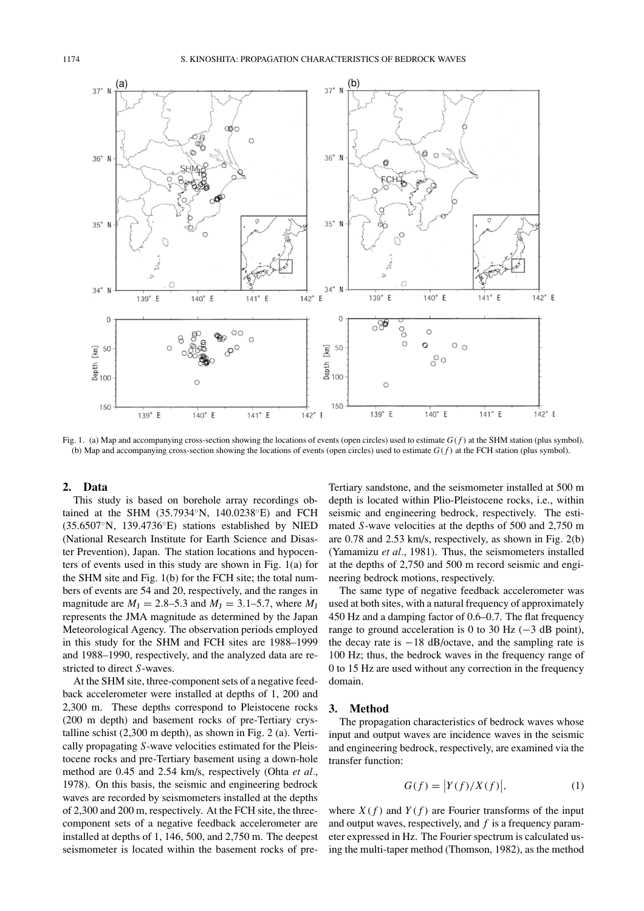

Fig. 1. (a) Map and accompanying cross-section showing the locations of events (open circles) used to estimate  $G(f)$  at the SHM station (plus symbol). (b) Map and accompanying cross-section showing the locations of events (open circles) used to estimate  $G(f)$  at the FCH station (plus symbol).

## **2. Data**

This study is based on borehole array recordings obtained at the SHM (35.7934◦N, 140.0238◦E) and FCH (35.6507◦N, 139.4736◦E) stations established by NIED (National Research Institute for Earth Science and Disaster Prevention), Japan. The station locations and hypocenters of events used in this study are shown in Fig. 1(a) for the SHM site and Fig. 1(b) for the FCH site; the total numbers of events are 54 and 20, respectively, and the ranges in magnitude are  $M_{\rm I} = 2.8 - 5.3$  and  $M_{\rm I} = 3.1 - 5.7$ , where  $M_{\rm I}$ represents the JMA magnitude as determined by the Japan Meteorological Agency. The observation periods employed in this study for the SHM and FCH sites are 1988–1999 and 1988–1990, respectively, and the analyzed data are restricted to direct *S*-waves.

At the SHM site, three-component sets of a negative feedback accelerometer were installed at depths of 1, 200 and 2,300 m. These depths correspond to Pleistocene rocks (200 m depth) and basement rocks of pre-Tertiary crystalline schist (2,300 m depth), as shown in Fig. 2 (a). Vertically propagating *S*-wave velocities estimated for the Pleistocene rocks and pre-Tertiary basement using a down-hole method are 0.45 and 2.54 km/s, respectively (Ohta *et al.*, 1978). On this basis, the seismic and engineering bedrock waves are recorded by seismometers installed at the depths of 2,300 and 200 m, respectively. At the FCH site, the threecomponent sets of a negative feedback accelerometer are installed at depths of 1, 146, 500, and 2,750 m. The deepest seismometer is located within the basement rocks of preTertiary sandstone, and the seismometer installed at 500 m depth is located within Plio-Pleistocene rocks, i.e., within seismic and engineering bedrock, respectively. The estimated *S*-wave velocities at the depths of 500 and 2,750 m are 0.78 and 2.53 km/s, respectively, as shown in Fig. 2(b) (Yamamizu *et al.*, 1981). Thus, the seismometers installed at the depths of 2,750 and 500 m record seismic and engineering bedrock motions, respectively.

The same type of negative feedback accelerometer was used at both sites, with a natural frequency of approximately 450 Hz and a damping factor of 0.6–0.7. The flat frequency range to ground acceleration is 0 to 30 Hz  $(-3$  dB point), the decay rate is  $-18$  dB/octave, and the sampling rate is 100 Hz; thus, the bedrock waves in the frequency range of 0 to 15 Hz are used without any correction in the frequency domain.

## **3. Method**

The propagation characteristics of bedrock waves whose input and output waves are incidence waves in the seismic and engineering bedrock, respectively, are examined via the transfer function:

$$
G(f) = |Y(f)/X(f)|,
$$
\n(1)

where  $X(f)$  and  $Y(f)$  are Fourier transforms of the input and output waves, respectively, and *f* is a frequency parameter expressed in Hz. The Fourier spectrum is calculated using the multi-taper method (Thomson, 1982), as the method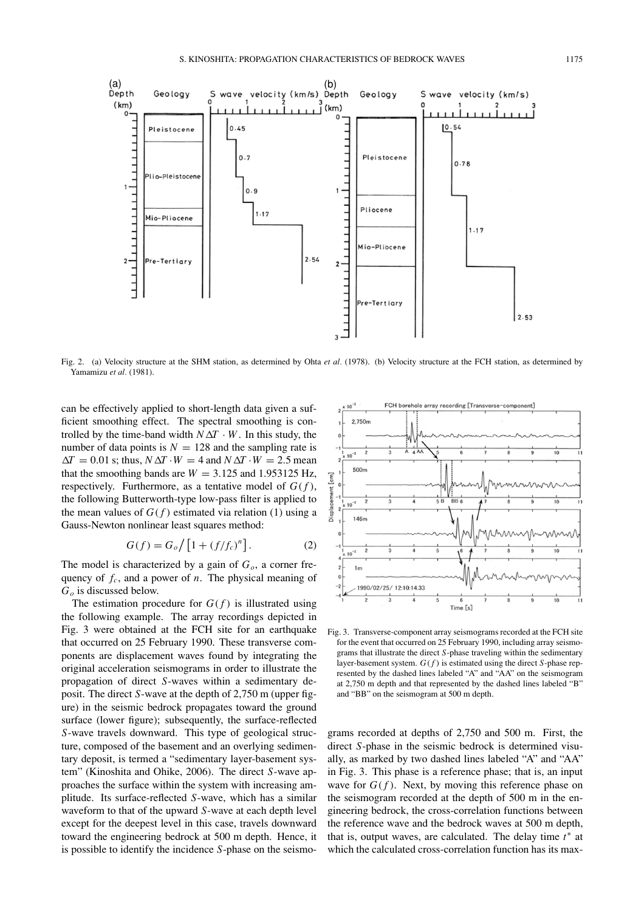(a) (b)<br>Depth Geology 5-wave-velocity(km/s)Depth Geology S wave velocity (km/s)  $(km)$  $\Omega$  $(km)$  $10.54$  $0.45$ **Pleistocene**  $0.7$ Pleistocene  $0.78$ lio-Pleistocen  $0.9$ Pliocene  $1.17$ Mio-Pliocene  $1.17$ Mio-Pliocene  $2.54$ Tertiary  $\frac{1}{1}$ -Tertiary  $2.53$ 

Fig. 2. (a) Velocity structure at the SHM station, as determined by Ohta *et al.* (1978). (b) Velocity structure at the FCH station, as determined by Yamamizu *et al.* (1981).

can be effectively applied to short-length data given a sufficient smoothing effect. The spectral smoothing is controlled by the time-band width  $N\Delta T \cdot W$ . In this study, the number of data points is  $N = 128$  and the sampling rate is  $\Delta T = 0.01$  s; thus,  $N \Delta T \cdot W = 4$  and  $N \Delta T \cdot W = 2.5$  mean that the smoothing bands are  $W = 3.125$  and 1.953125 Hz, respectively. Furthermore, as a tentative model of  $G(f)$ , the following Butterworth-type low-pass filter is applied to the mean values of  $G(f)$  estimated via relation (1) using a Gauss-Newton nonlinear least squares method:

$$
G(f) = G_o / [1 + (f/f_c)^n].
$$
 (2)

The model is characterized by a gain of  $G<sub>o</sub>$ , a corner frequency of *fc*, and a power of *n*. The physical meaning of *Go* is discussed below.

The estimation procedure for  $G(f)$  is illustrated using the following example. The array recordings depicted in Fig. 3 were obtained at the FCH site for an earthquake that occurred on 25 February 1990. These transverse components are displacement waves found by integrating the original acceleration seismograms in order to illustrate the propagation of direct *S*-waves within a sedimentary deposit. The direct *S*-wave at the depth of 2,750 m (upper figure) in the seismic bedrock propagates toward the ground surface (lower figure); subsequently, the surface-reflected *S*-wave travels downward. This type of geological structure, composed of the basement and an overlying sedimentary deposit, is termed a "sedimentary layer-basement system" (Kinoshita and Ohike, 2006). The direct *S*-wave approaches the surface within the system with increasing amplitude. Its surface-reflected *S*-wave, which has a similar waveform to that of the upward *S*-wave at each depth level except for the deepest level in this case, travels downward toward the engineering bedrock at 500 m depth. Hence, it is possible to identify the incidence *S*-phase on the seismo-



Fig. 3. Transverse-component array seismograms recorded at the FCH site for the event that occurred on 25 February 1990, including array seismograms that illustrate the direct *S*-phase traveling within the sedimentary layer-basement system. *G*( *f* ) is estimated using the direct *S*-phase represented by the dashed lines labeled "A" and "AA" on the seismogram at 2,750 m depth and that represented by the dashed lines labeled "B" and "BB" on the seismogram at 500 m depth.

grams recorded at depths of 2,750 and 500 m. First, the direct *S*-phase in the seismic bedrock is determined visually, as marked by two dashed lines labeled "A" and "AA" in Fig. 3. This phase is a reference phase; that is, an input wave for  $G(f)$ . Next, by moving this reference phase on the seismogram recorded at the depth of 500 m in the engineering bedrock, the cross-correlation functions between the reference wave and the bedrock waves at 500 m depth, that is, output waves, are calculated. The delay time *t*<sup>∗</sup> at which the calculated cross-correlation function has its max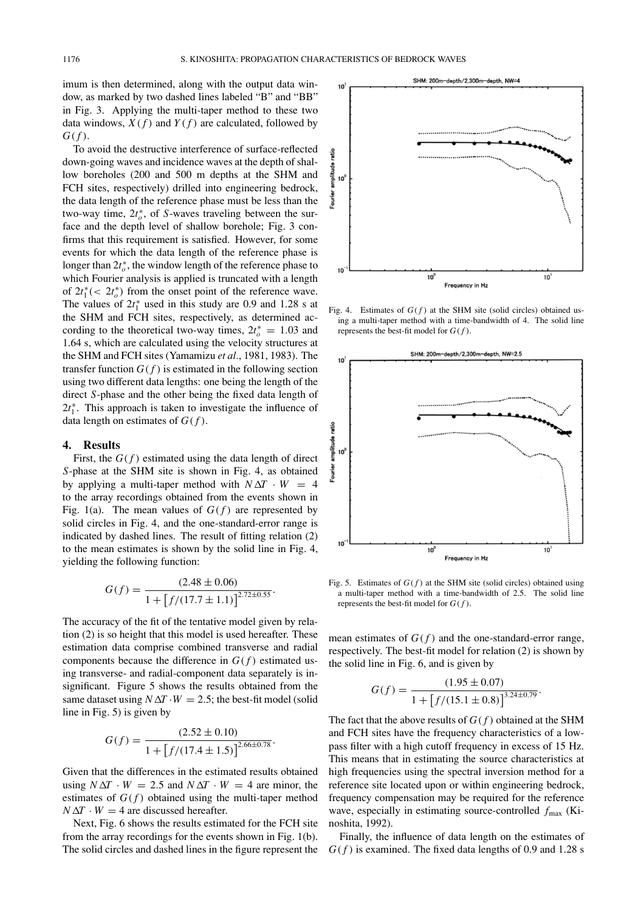imum is then determined, along with the output data window, as marked by two dashed lines labeled "B" and "BB" in Fig. 3. Applying the multi-taper method to these two data windows,  $X(f)$  and  $Y(f)$  are calculated, followed by  $G(f)$ .

To avoid the destructive interference of surface-reflected down-going waves and incidence waves at the depth of shallow boreholes (200 and 500 m depths at the SHM and FCH sites, respectively) drilled into engineering bedrock, the data length of the reference phase must be less than the two-way time,  $2t_o^*$ , of *S*-waves traveling between the surface and the depth level of shallow borehole; Fig. 3 confirms that this requirement is satisfied. However, for some events for which the data length of the reference phase is longer than  $2t_o^*$ , the window length of the reference phase to which Fourier analysis is applied is truncated with a length of  $2t_1^*$  (<  $2t_0^*$ ) from the onset point of the reference wave. The values of  $2t_1^*$  used in this study are 0.9 and 1.28 s at the SHM and FCH sites, respectively, as determined according to the theoretical two-way times,  $2t_o^* = 1.03$  and 1.64 s, which are calculated using the velocity structures at the SHM and FCH sites (Yamamizu *et al.*, 1981, 1983). The transfer function  $G(f)$  is estimated in the following section using two different data lengths: one being the length of the direct *S*-phase and the other being the fixed data length of 2*t*<sup>\*</sup><sub>1</sub>. This approach is taken to investigate the influence of data length on estimates of  $G(f)$ .

#### **4. Results**

First, the  $G(f)$  estimated using the data length of direct *S*-phase at the SHM site is shown in Fig. 4, as obtained by applying a multi-taper method with  $N\Delta T \cdot W = 4$ to the array recordings obtained from the events shown in Fig. 1(a). The mean values of  $G(f)$  are represented by solid circles in Fig. 4, and the one-standard-error range is indicated by dashed lines. The result of fitting relation (2) to the mean estimates is shown by the solid line in Fig. 4, yielding the following function:

$$
G(f) = \frac{(2.48 \pm 0.06)}{1 + [f/(17.7 \pm 1.1)]^{2.72 \pm 0.55}}.
$$

The accuracy of the fit of the tentative model given by relation (2) is so height that this model is used hereafter. These estimation data comprise combined transverse and radial components because the difference in  $G(f)$  estimated using transverse- and radial-component data separately is insignificant. Figure 5 shows the results obtained from the same dataset using  $N \Delta T \cdot W = 2.5$ ; the best-fit model (solid line in Fig. 5) is given by

$$
G(f) = \frac{(2.52 \pm 0.10)}{1 + [f/(17.4 \pm 1.5)]^{2.66 \pm 0.78}}.
$$

Given that the differences in the estimated results obtained using  $N\Delta T \cdot W = 2.5$  and  $N\Delta T \cdot W = 4$  are minor, the estimates of  $G(f)$  obtained using the multi-taper method  $N \Delta T \cdot W = 4$  are discussed hereafter.

Next, Fig. 6 shows the results estimated for the FCH site from the array recordings for the events shown in Fig. 1(b). The solid circles and dashed lines in the figure represent the



Fig. 4. Estimates of  $G(f)$  at the SHM site (solid circles) obtained using a multi-taper method with a time-bandwidth of 4. The solid line represents the best-fit model for  $G(f)$ .



Fig. 5. Estimates of  $G(f)$  at the SHM site (solid circles) obtained using a multi-taper method with a time-bandwidth of 2.5. The solid line represents the best-fit model for  $G(f)$ .

mean estimates of  $G(f)$  and the one-standard-error range, respectively. The best-fit model for relation (2) is shown by the solid line in Fig. 6, and is given by

$$
G(f) = \frac{(1.95 \pm 0.07)}{1 + [f/(15.1 \pm 0.8)]^{3.24 \pm 0.79}}.
$$

The fact that the above results of  $G(f)$  obtained at the SHM and FCH sites have the frequency characteristics of a lowpass filter with a high cutoff frequency in excess of 15 Hz. This means that in estimating the source characteristics at high frequencies using the spectral inversion method for a reference site located upon or within engineering bedrock, frequency compensation may be required for the reference wave, especially in estimating source-controlled  $f_{\text{max}}$  (Kinoshita, 1992).

Finally, the influence of data length on the estimates of  $G(f)$  is examined. The fixed data lengths of 0.9 and 1.28 s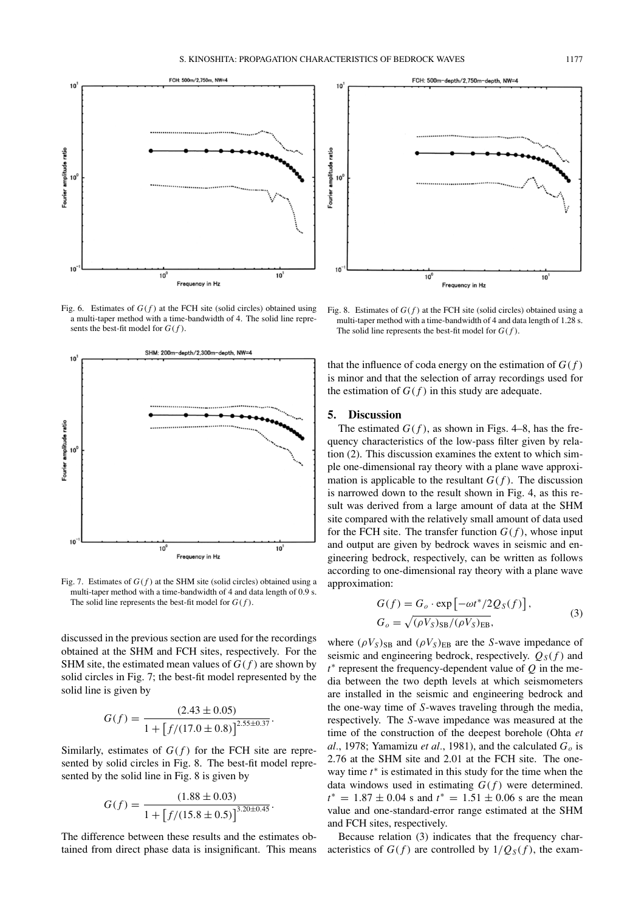

Fig. 6. Estimates of  $G(f)$  at the FCH site (solid circles) obtained using a multi-taper method with a time-bandwidth of 4. The solid line represents the best-fit model for  $G(f)$ .



Fig. 7. Estimates of  $G(f)$  at the SHM site (solid circles) obtained using a multi-taper method with a time-bandwidth of 4 and data length of 0.9 s. The solid line represents the best-fit model for *G*( *f* ).

discussed in the previous section are used for the recordings obtained at the SHM and FCH sites, respectively. For the SHM site, the estimated mean values of  $G(f)$  are shown by solid circles in Fig. 7; the best-fit model represented by the solid line is given by

$$
G(f) = \frac{(2.43 \pm 0.05)}{1 + [f/(17.0 \pm 0.8)]^{2.55 \pm 0.37}}.
$$

Similarly, estimates of  $G(f)$  for the FCH site are represented by solid circles in Fig. 8. The best-fit model represented by the solid line in Fig. 8 is given by

$$
G(f) = \frac{(1.88 \pm 0.03)}{1 + [f/(15.8 \pm 0.5)]^{3.20 \pm 0.45}}.
$$

The difference between these results and the estimates obtained from direct phase data is insignificant. This means



Fig. 8. Estimates of *G*( *f* ) at the FCH site (solid circles) obtained using a multi-taper method with a time-bandwidth of 4 and data length of 1.28 s. The solid line represents the best-fit model for  $G(f)$ .

that the influence of coda energy on the estimation of  $G(f)$ is minor and that the selection of array recordings used for the estimation of  $G(f)$  in this study are adequate.

#### **5. Discussion**

The estimated  $G(f)$ , as shown in Figs. 4–8, has the frequency characteristics of the low-pass filter given by relation (2). This discussion examines the extent to which simple one-dimensional ray theory with a plane wave approximation is applicable to the resultant  $G(f)$ . The discussion is narrowed down to the result shown in Fig. 4, as this result was derived from a large amount of data at the SHM site compared with the relatively small amount of data used for the FCH site. The transfer function  $G(f)$ , whose input and output are given by bedrock waves in seismic and engineering bedrock, respectively, can be written as follows according to one-dimensional ray theory with a plane wave approximation:

$$
G(f) = G_o \cdot \exp[-\omega t^*/2Q_S(f)],
$$
  
\n
$$
G_o = \sqrt{(\rho V_S)_{SB}/(\rho V_S)_{EB}},
$$
\n(3)

where  $(\rho V_S)_{SB}$  and  $(\rho V_S)_{EB}$  are the *S*-wave impedance of seismic and engineering bedrock, respectively.  $Q_S(f)$  and *t*<sup>∗</sup> represent the frequency-dependent value of *Q* in the media between the two depth levels at which seismometers are installed in the seismic and engineering bedrock and the one-way time of *S*-waves traveling through the media, respectively. The *S*-wave impedance was measured at the time of the construction of the deepest borehole (Ohta *et al.*, 1978; Yamamizu *et al.*, 1981), and the calculated  $G<sub>o</sub>$  is 2.76 at the SHM site and 2.01 at the FCH site. The oneway time *t*<sup>∗</sup> is estimated in this study for the time when the data windows used in estimating  $G(f)$  were determined. *t*<sup>∗</sup> = 1.87 ± 0.04 s and *t*<sup>∗</sup> = 1.51 ± 0.06 s are the mean value and one-standard-error range estimated at the SHM and FCH sites, respectively.

Because relation (3) indicates that the frequency characteristics of  $G(f)$  are controlled by  $1/Q<sub>S</sub>(f)$ , the exam-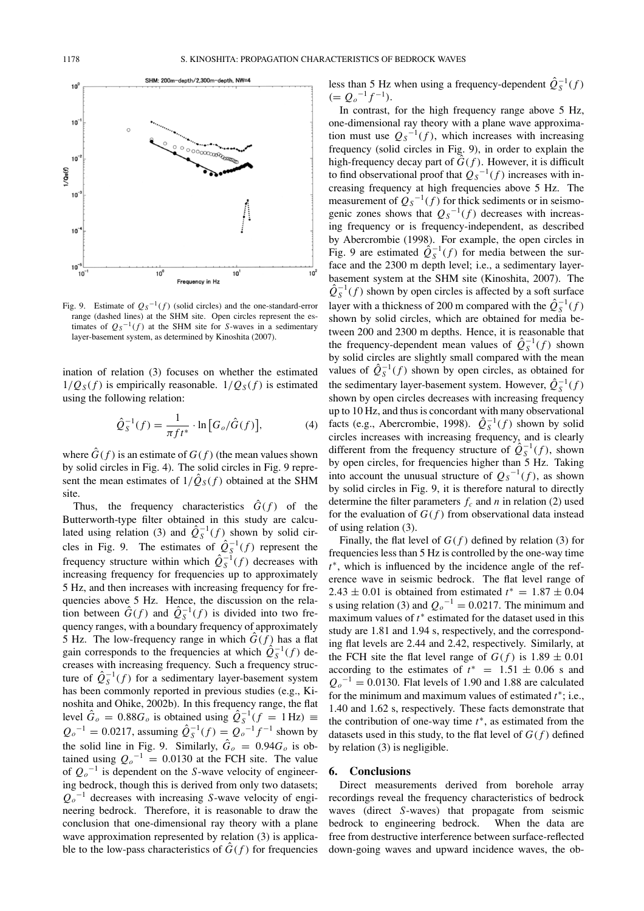

Fig. 9. Estimate of  $Q_S^{-1}(f)$  (solid circles) and the one-standard-error range (dashed lines) at the SHM site. Open circles represent the estimates of  $Q_S^{-1}(f)$  at the SHM site for *S*-waves in a sedimentary layer-basement system, as determined by Kinoshita (2007).

ination of relation (3) focuses on whether the estimated  $1/Q<sub>S</sub>(f)$  is empirically reasonable.  $1/Q<sub>S</sub>(f)$  is estimated using the following relation:

$$
\hat{Q}_S^{-1}(f) = \frac{1}{\pi f t^*} \cdot \ln \left[ G_o / \hat{G}(f) \right],\tag{4}
$$

where  $\hat{G}(f)$  is an estimate of  $G(f)$  (the mean values shown by solid circles in Fig. 4). The solid circles in Fig. 9 represent the mean estimates of  $1/\hat{Q}_S(f)$  obtained at the SHM site.

Thus, the frequency characteristics  $\ddot{G}(f)$  of the Butterworth-type filter obtained in this study are calculated using relation (3) and  $\hat{Q}_S^{-1}(f)$  shown by solid circles in Fig. 9. The estimates of  $\hat{Q}^{-1}_{S}(f)$  represent the frequency structure within which  $\hat{Q}_{S}^{-1}(f)$  decreases with increasing frequency for frequencies up to approximately 5 Hz, and then increases with increasing frequency for frequencies above 5 Hz. Hence, the discussion on the relation between  $\hat{G}(f)$  and  $\hat{Q}_{S}^{-1}(f)$  is divided into two frequency ranges, with a boundary frequency of approximately 5 Hz. The low-frequency range in which  $G(f)$  has a flat gain corresponds to the frequencies at which  $\hat{Q}_{S}^{-1}(f)$  decreases with increasing frequency. Such a frequency structure of  $\hat{Q}_{S}^{-1}(f)$  for a sedimentary layer-basement system has been commonly reported in previous studies (e.g., Kinoshita and Ohike, 2002b). In this frequency range, the flat level  $\hat{G}_o = 0.88 G_o$  is obtained using  $\hat{Q}_S^{-1}(f) = 1$  Hz)  $\equiv$  $Q_o^{-1} = 0.0217$ , assuming  $\hat{Q}_S^{-1}(f) = Q_o^{-1}f^{-1}$  shown by the solid line in Fig. 9. Similarly,  $\hat{G}_{\rho} = 0.94 G_{\rho}$  is obtained using  $Q_o^{-1} = 0.0130$  at the FCH site. The value of *Qo* <sup>−</sup><sup>1</sup> is dependent on the *S*-wave velocity of engineering bedrock, though this is derived from only two datasets; *Qo* <sup>−</sup><sup>1</sup> decreases with increasing *S*-wave velocity of engineering bedrock. Therefore, it is reasonable to draw the conclusion that one-dimensional ray theory with a plane wave approximation represented by relation  $(3)$  is applicable to the low-pass characteristics of  $\tilde{G}(f)$  for frequencies

less than 5 Hz when using a frequency-dependent  $\hat{Q}_S^{-1}(f)$  $(= Q_o^{-1} f^{-1}).$ 

In contrast, for the high frequency range above 5 Hz, one-dimensional ray theory with a plane wave approximation must use  $Q_S^{-1}(f)$ , which increases with increasing frequency (solid circles in Fig. 9), in order to explain the high-frequency decay part of  $\hat{G}(f)$ . However, it is difficult to find observational proof that  $Q_S^{-1}(f)$  increases with increasing frequency at high frequencies above 5 Hz. The measurement of  $Q_S^{-1}(f)$  for thick sediments or in seismogenic zones shows that  $Q_S^{-1}(f)$  decreases with increasing frequency or is frequency-independent, as described by Abercrombie (1998). For example, the open circles in Fig. 9 are estimated  $\hat{Q}_{S}^{-1}(f)$  for media between the surface and the 2300 m depth level; i.e., a sedimentary layerbasement system at the SHM site (Kinoshita, 2007). The  $\hat{Q}_S^{-1}(f)$  shown by open circles is affected by a soft surface layer with a thickness of 200 m compared with the  $\hat{Q}^{-1}_{S}(f)$ shown by solid circles, which are obtained for media between 200 and 2300 m depths. Hence, it is reasonable that the frequency-dependent mean values of  $\hat{Q}_{S}^{-1}(f)$  shown by solid circles are slightly small compared with the mean values of  $\hat{Q}_{S}^{-1}(f)$  shown by open circles, as obtained for the sedimentary layer-basement system. However,  $\hat{Q}_{S}^{-1}(f)$ shown by open circles decreases with increasing frequency up to 10 Hz, and thus is concordant with many observational facts (e.g., Abercrombie, 1998).  $\hat{Q}_{S}^{-1}(f)$  shown by solid circles increases with increasing frequency, and is clearly different from the frequency structure of  $\hat{Q}^{-1}_{S}(f)$ , shown by open circles, for frequencies higher than 5 Hz. Taking into account the unusual structure of  $Q_S^{-1}(f)$ , as shown by solid circles in Fig. 9, it is therefore natural to directly determine the filter parameters  $f_c$  and  $n$  in relation (2) used for the evaluation of  $G(f)$  from observational data instead of using relation (3).

Finally, the flat level of *G*( *f* ) defined by relation (3) for frequencies less than 5 Hz is controlled by the one-way time *t*<sup>∗</sup>, which is influenced by the incidence angle of the reference wave in seismic bedrock. The flat level range of  $2.43 \pm 0.01$  is obtained from estimated  $t^* = 1.87 \pm 0.04$ s using relation (3) and  $Q_o^{-1} = 0.0217$ . The minimum and maximum values of *t*<sup>∗</sup> estimated for the dataset used in this study are 1.81 and 1.94 s, respectively, and the corresponding flat levels are 2.44 and 2.42, respectively. Similarly, at the FCH site the flat level range of  $G(f)$  is 1.89  $\pm$  0.01 according to the estimates of  $t^* = 1.51 \pm 0.06$  s and  $Q_o^{-1} = 0.0130$ . Flat levels of 1.90 and 1.88 are calculated for the minimum and maximum values of estimated *t*∗; i.e., 1.40 and 1.62 s, respectively. These facts demonstrate that the contribution of one-way time *t*∗, as estimated from the datasets used in this study, to the flat level of  $G(f)$  defined by relation (3) is negligible.

### **6. Conclusions**

Direct measurements derived from borehole array recordings reveal the frequency characteristics of bedrock waves (direct *S*-waves) that propagate from seismic bedrock to engineering bedrock. When the data are free from destructive interference between surface-reflected down-going waves and upward incidence waves, the ob